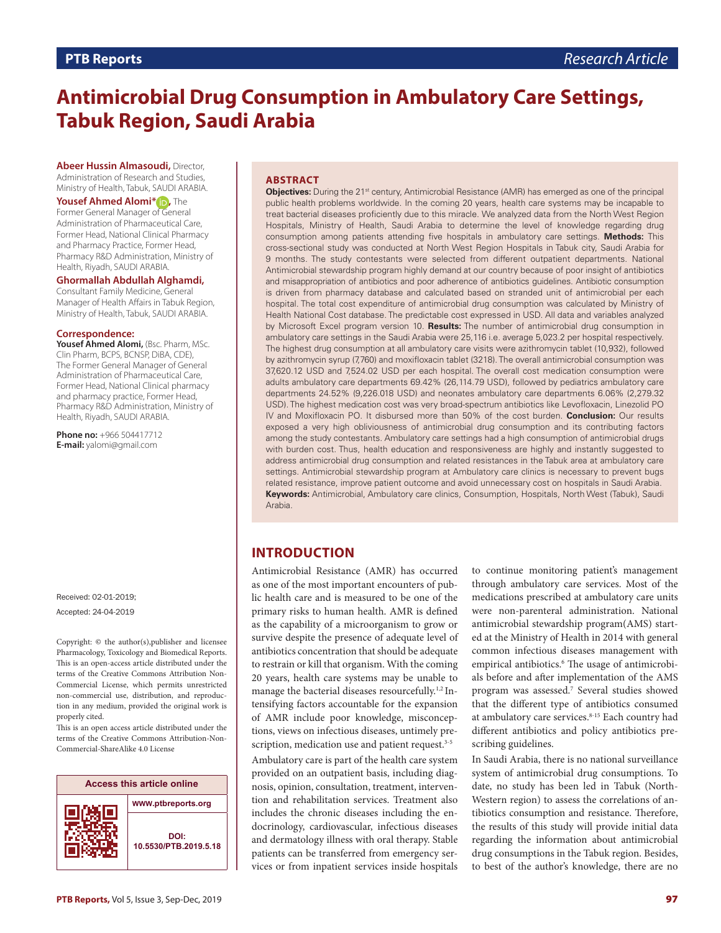# **Antimicrobial Drug Consumption in Ambulatory Care Settings, Tabuk Region, Saudi Arabia**

**Abeer Hussin Almasoudi,** Director, Administration of Research and Studies, Ministry of Health, Tabuk, SAUDI ARABIA.

#### **Yousef Ahmed Alomi\* ,** The

Former General Manager of General Administration of Pharmaceutical Care, Former Head, National Clinical Pharmacy and Pharmacy Practice, Former Head, Pharmacy R&D Administration, Ministry of Health, Riyadh, SAUDI ARABIA.

#### **Ghormallah Abdullah Alghamdi,**

Consultant Family Medicine, General Manager of Health Affairs in Tabuk Region, Ministry of Health, Tabuk, SAUDI ARABIA.

#### **Correspondence:**

**Yousef Ahmed Alomi,** (Bsc. Pharm, MSc. Clin Pharm, BCPS, BCNSP, DiBA, CDE), The Former General Manager of General Administration of Pharmaceutical Care, Former Head, National Clinical pharmacy and pharmacy practice, Former Head, Pharmacy R&D Administration, Ministry of Health, Riyadh, SAUDI ARABIA.

**Phone no:** +966 504417712 **E-mail:** yalomi@gmail.com

Received: 02-01-2019; Accepted: 24-04-2019

Copyright: © the author(s),publisher and licensee Pharmacology, Toxicology and Biomedical Reports. This is an open-access article distributed under the terms of the Creative Commons Attribution Non-Commercial License, which permits unrestricted non-commercial use, distribution, and reproduction in any medium, provided the original work is properly cited.

This is an open access article distributed under the terms of the Creative Commons Attribution-Non-Commercial-ShareAlike 4.0 License



#### **ABSTRACT**

**Objectives:** During the 21<sup>st</sup> century, Antimicrobial Resistance (AMR) has emerged as one of the principal public health problems worldwide. In the coming 20 years, health care systems may be incapable to treat bacterial diseases proficiently due to this miracle. We analyzed data from the North West Region Hospitals, Ministry of Health, Saudi Arabia to determine the level of knowledge regarding drug consumption among patients attending five hospitals in ambulatory care settings. **Methods:** This cross-sectional study was conducted at North West Region Hospitals in Tabuk city, Saudi Arabia for 9 months. The study contestants were selected from different outpatient departments. National Antimicrobial stewardship program highly demand at our country because of poor insight of antibiotics and misappropriation of antibiotics and poor adherence of antibiotics guidelines. Antibiotic consumption is driven from pharmacy database and calculated based on stranded unit of antimicrobial per each hospital. The total cost expenditure of antimicrobial drug consumption was calculated by Ministry of Health National Cost database. The predictable cost expressed in USD. All data and variables analyzed by Microsoft Excel program version 10. **Results:** The number of antimicrobial drug consumption in ambulatory care settings in the Saudi Arabia were 25,116 i.e. average 5,023.2 per hospital respectively. The highest drug consumption at all ambulatory care visits were azithromycin tablet (10,932), followed by azithromycin syrup (7,760) and moxifloxacin tablet (3218). The overall antimicrobial consumption was 37,620.12 USD and 7,524.02 USD per each hospital. The overall cost medication consumption were adults ambulatory care departments 69.42% (26,114.79 USD), followed by pediatrics ambulatory care departments 24.52% (9,226.018 USD) and neonates ambulatory care departments 6.06% (2,279.32 USD). The highest medication cost was very broad-spectrum antibiotics like Levofloxacin, Linezolid PO IV and Moxifloxacin PO. It disbursed more than 50% of the cost burden. **Conclusion:** Our results exposed a very high obliviousness of antimicrobial drug consumption and its contributing factors among the study contestants. Ambulatory care settings had a high consumption of antimicrobial drugs with burden cost. Thus, health education and responsiveness are highly and instantly suggested to address antimicrobial drug consumption and related resistances in the Tabuk area at ambulatory care settings. Antimicrobial stewardship program at Ambulatory care clinics is necessary to prevent bugs related resistance, improve patient outcome and avoid unnecessary cost on hospitals in Saudi Arabia. **Keywords:** Antimicrobial, Ambulatory care clinics, Consumption, Hospitals, North West (Tabuk), Saudi Arabia.

## **INTRODUCTION**

Antimicrobial Resistance (AMR) has occurred as one of the most important encounters of public health care and is measured to be one of the primary risks to human health. AMR is defined as the capability of a microorganism to grow or survive despite the presence of adequate level of antibiotics concentration that should be adequate to restrain or kill that organism. With the coming 20 years, health care systems may be unable to manage the bacterial diseases resourcefully.<sup>1,2</sup> Intensifying factors accountable for the expansion of AMR include poor knowledge, misconceptions, views on infectious diseases, untimely prescription, medication use and patient request.<sup>3-5</sup>

Ambulatory care is part of the health care system provided on an outpatient basis, including diagnosis, opinion, consultation, treatment, intervention and rehabilitation services. Treatment also includes the chronic diseases including the endocrinology, cardiovascular, infectious diseases and dermatology illness with oral therapy. Stable patients can be transferred from emergency services or from inpatient services inside hospitals

to continue monitoring patient's management through ambulatory care services. Most of the medications prescribed at ambulatory care units were non-parenteral administration. National antimicrobial stewardship program(AMS) started at the Ministry of Health in 2014 with general common infectious diseases management with empirical antibiotics.<sup>6</sup> The usage of antimicrobials before and after implementation of the AMS program was assessed.7 Several studies showed that the different type of antibiotics consumed at ambulatory care services.<sup>8-15</sup> Each country had different antibiotics and policy antibiotics prescribing guidelines.

In Saudi Arabia, there is no national surveillance system of antimicrobial drug consumptions. To date, no study has been led in Tabuk (North-Western region) to assess the correlations of antibiotics consumption and resistance. Therefore, the results of this study will provide initial data regarding the information about antimicrobial drug consumptions in the Tabuk region. Besides, to best of the author's knowledge, there are no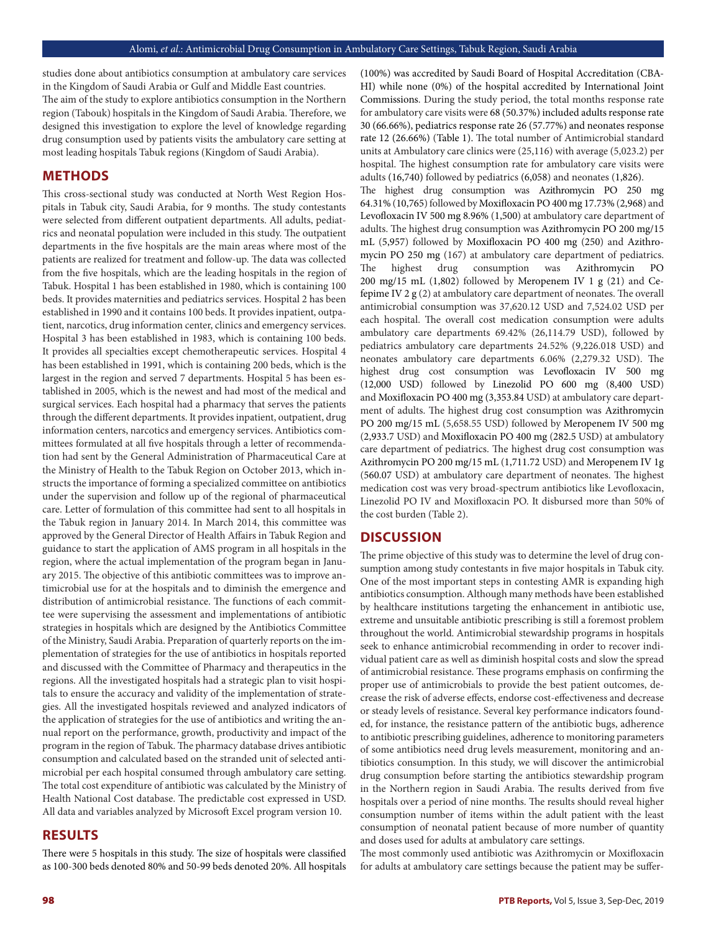studies done about antibiotics consumption at ambulatory care services in the Kingdom of Saudi Arabia or Gulf and Middle East countries. The aim of the study to explore antibiotics consumption in the Northern region (Tabouk) hospitals in the Kingdom of Saudi Arabia. Therefore, we designed this investigation to explore the level of knowledge regarding drug consumption used by patients visits the ambulatory care setting at most leading hospitals Tabuk regions (Kingdom of Saudi Arabia).

## **METHODS**

This cross-sectional study was conducted at North West Region Hospitals in Tabuk city, Saudi Arabia, for 9 months. The study contestants were selected from different outpatient departments. All adults, pediatrics and neonatal population were included in this study. The outpatient departments in the five hospitals are the main areas where most of the patients are realized for treatment and follow-up. The data was collected from the five hospitals, which are the leading hospitals in the region of Tabuk. Hospital 1 has been established in 1980, which is containing 100 beds. It provides maternities and pediatrics services. Hospital 2 has been established in 1990 and it contains 100 beds. It provides inpatient, outpatient, narcotics, drug information center, clinics and emergency services. Hospital 3 has been established in 1983, which is containing 100 beds. It provides all specialties except chemotherapeutic services. Hospital 4 has been established in 1991, which is containing 200 beds, which is the largest in the region and served 7 departments. Hospital 5 has been established in 2005, which is the newest and had most of the medical and surgical services. Each hospital had a pharmacy that serves the patients through the different departments. It provides inpatient, outpatient, drug information centers, narcotics and emergency services. Antibiotics committees formulated at all five hospitals through a letter of recommendation had sent by the General Administration of Pharmaceutical Care at the Ministry of Health to the Tabuk Region on October 2013, which instructs the importance of forming a specialized committee on antibiotics under the supervision and follow up of the regional of pharmaceutical care. Letter of formulation of this committee had sent to all hospitals in the Tabuk region in January 2014. In March 2014, this committee was approved by the General Director of Health Affairs in Tabuk Region and guidance to start the application of AMS program in all hospitals in the region, where the actual implementation of the program began in January 2015. The objective of this antibiotic committees was to improve antimicrobial use for at the hospitals and to diminish the emergence and distribution of antimicrobial resistance. The functions of each committee were supervising the assessment and implementations of antibiotic strategies in hospitals which are designed by the Antibiotics Committee of the Ministry, Saudi Arabia. Preparation of quarterly reports on the implementation of strategies for the use of antibiotics in hospitals reported and discussed with the Committee of Pharmacy and therapeutics in the regions. All the investigated hospitals had a strategic plan to visit hospitals to ensure the accuracy and validity of the implementation of strategies. All the investigated hospitals reviewed and analyzed indicators of the application of strategies for the use of antibiotics and writing the annual report on the performance, growth, productivity and impact of the program in the region of Tabuk. The pharmacy database drives antibiotic consumption and calculated based on the stranded unit of selected antimicrobial per each hospital consumed through ambulatory care setting. The total cost expenditure of antibiotic was calculated by the Ministry of Health National Cost database. The predictable cost expressed in USD. All data and variables analyzed by Microsoft Excel program version 10.

## **RESULTS**

There were 5 hospitals in this study. The size of hospitals were classified as 100-300 beds denoted 80% and 50-99 beds denoted 20%. All hospitals (100%) was accredited by Saudi Board of Hospital Accreditation (CBA-HI) while none (0%) of the hospital accredited by International Joint Commissions. During the study period, the total months response rate for ambulatory care visits were 68 (50.37%) included adults response rate 30 (66.66%), pediatrics response rate 26 (57.77%) and neonates response rate 12 (26.66%) (Table 1). The total number of Antimicrobial standard units at Ambulatory care clinics were (25,116) with average (5,023.2) per hospital. The highest consumption rate for ambulatory care visits were adults (16,740) followed by pediatrics (6,058) and neonates (1,826).

The highest drug consumption was Azithromycin PO 250 mg 64.31% (10,765) followed by Moxifloxacin PO 400 mg 17.73% (2,968) and Levofloxacin IV 500 mg 8.96% (1,500) at ambulatory care department of adults. The highest drug consumption was Azithromycin PO 200 mg/15 mL (5,957) followed by Moxifloxacin PO 400 mg (250) and Azithromycin PO 250 mg (167) at ambulatory care department of pediatrics. The highest drug consumption was Azithromycin PO 200 mg/15 mL (1,802) followed by Meropenem IV 1 g (21) and Cefepime IV 2 g (2) at ambulatory care department of neonates. The overall antimicrobial consumption was 37,620.12 USD and 7,524.02 USD per each hospital. The overall cost medication consumption were adults ambulatory care departments 69.42% (26,114.79 USD), followed by pediatrics ambulatory care departments 24.52% (9,226.018 USD) and neonates ambulatory care departments 6.06% (2,279.32 USD). The highest drug cost consumption was Levofloxacin IV 500 mg (12,000 USD) followed by Linezolid PO 600 mg (8,400 USD) and Moxifloxacin PO 400 mg (3,353.84 USD) at ambulatory care department of adults. The highest drug cost consumption was Azithromycin PO 200 mg/15 mL (5,658.55 USD) followed by Meropenem IV 500 mg (2,933.7 USD) and Moxifloxacin PO 400 mg (282.5 USD) at ambulatory care department of pediatrics. The highest drug cost consumption was Azithromycin PO 200 mg/15 mL (1,711.72 USD) and Meropenem IV 1g (560.07 USD) at ambulatory care department of neonates. The highest medication cost was very broad-spectrum antibiotics like Levofloxacin, Linezolid PO IV and Moxifloxacin PO. It disbursed more than 50% of the cost burden (Table 2).

### **DISCUSSION**

The prime objective of this study was to determine the level of drug consumption among study contestants in five major hospitals in Tabuk city. One of the most important steps in contesting AMR is expanding high antibiotics consumption. Although many methods have been established by healthcare institutions targeting the enhancement in antibiotic use, extreme and unsuitable antibiotic prescribing is still a foremost problem throughout the world. Antimicrobial stewardship programs in hospitals seek to enhance antimicrobial recommending in order to recover individual patient care as well as diminish hospital costs and slow the spread of antimicrobial resistance. These programs emphasis on confirming the proper use of antimicrobials to provide the best patient outcomes, decrease the risk of adverse effects, endorse cost-effectiveness and decrease or steady levels of resistance. Several key performance indicators founded, for instance, the resistance pattern of the antibiotic bugs, adherence to antibiotic prescribing guidelines, adherence to monitoring parameters of some antibiotics need drug levels measurement, monitoring and antibiotics consumption. In this study, we will discover the antimicrobial drug consumption before starting the antibiotics stewardship program in the Northern region in Saudi Arabia. The results derived from five hospitals over a period of nine months. The results should reveal higher consumption number of items within the adult patient with the least consumption of neonatal patient because of more number of quantity and doses used for adults at ambulatory care settings.

The most commonly used antibiotic was Azithromycin or Moxifloxacin for adults at ambulatory care settings because the patient may be suffer-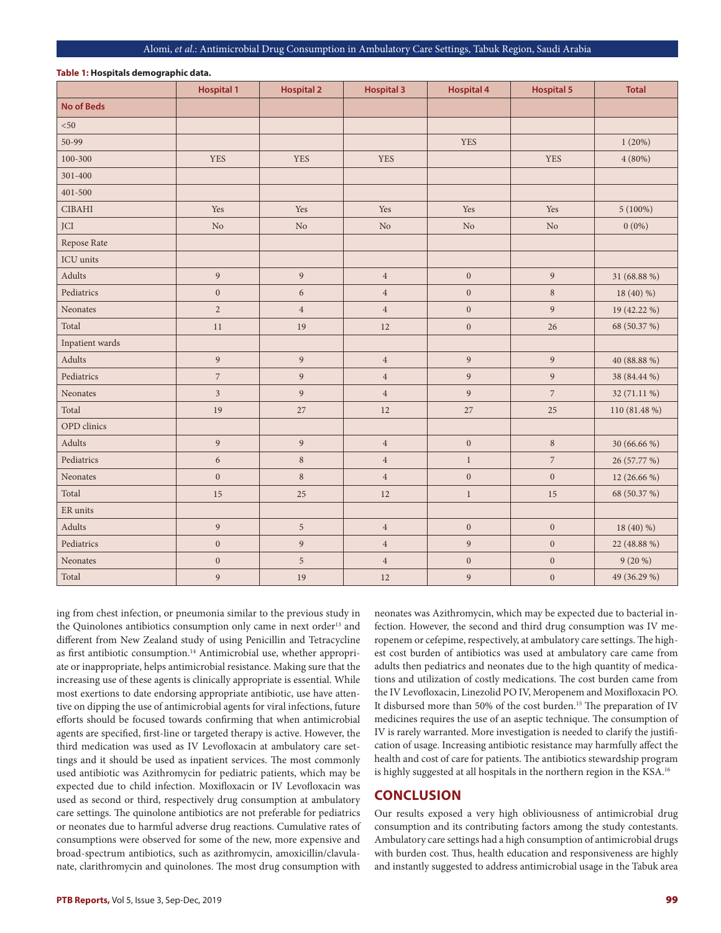#### Alomi, *et al*.: Antimicrobial Drug Consumption in Ambulatory Care Settings, Tabuk Region, Saudi Arabia

|                   | <b>Hospital 1</b> | <b>Hospital 2</b> | <b>Hospital 3</b> | <b>Hospital 4</b> | <b>Hospital 5</b> | <b>Total</b>  |
|-------------------|-------------------|-------------------|-------------------|-------------------|-------------------|---------------|
| <b>No of Beds</b> |                   |                   |                   |                   |                   |               |
| $50$              |                   |                   |                   |                   |                   |               |
| 50-99             |                   |                   |                   | <b>YES</b>        |                   | 1(20%)        |
| 100-300           | <b>YES</b>        | <b>YES</b>        | <b>YES</b>        |                   | <b>YES</b>        | $4(80\%)$     |
| 301-400           |                   |                   |                   |                   |                   |               |
| $401 - 500$       |                   |                   |                   |                   |                   |               |
| $\rm CIBAHI$      | Yes               | Yes               | Yes               | Yes               | Yes               | $5(100\%)$    |
| JCI               | $\rm No$          | $\rm No$          | $\rm No$          | $\rm No$          | $\rm No$          | $0(0\%)$      |
| Repose Rate       |                   |                   |                   |                   |                   |               |
| ICU units         |                   |                   |                   |                   |                   |               |
| Adults            | 9                 | 9                 | $\sqrt{4}$        | $\boldsymbol{0}$  | 9                 | 31 (68.88 %)  |
| Pediatrics        | $\boldsymbol{0}$  | $\sqrt{6}$        | $\,4$             | $\boldsymbol{0}$  | $\,$ 8 $\,$       | 18 (40) %)    |
| Neonates          | $\overline{2}$    | $\sqrt{4}$        | $\sqrt{4}$        | $\mathbf{0}$      | 9                 | 19 (42.22 %)  |
| Total             | 11                | 19                | 12                | $\boldsymbol{0}$  | 26                | 68 (50.37 %)  |
| Inpatient wards   |                   |                   |                   |                   |                   |               |
| Adults            | 9                 | $\overline{9}$    | $\sqrt{4}$        | 9                 | 9                 | 40 (88.88 %)  |
| Pediatrics        | $\overline{7}$    | $\overline{9}$    | $\sqrt{4}$        | 9                 | 9                 | 38 (84.44 %)  |
| Neonates          | $\mathfrak{Z}$    | $\overline{9}$    | $\,4$             | $\overline{9}$    | $\boldsymbol{7}$  | 32 (71.11 %)  |
| Total             | 19                | 27                | 12                | $27\,$            | 25                | 110 (81.48 %) |
| OPD clinics       |                   |                   |                   |                   |                   |               |
| Adults            | $\boldsymbol{9}$  | $\boldsymbol{9}$  | $\,4$             | $\boldsymbol{0}$  | $\,8\,$           | 30 (66.66 %)  |
| Pediatrics        | $\sqrt{6}$        | $\,8\,$           | $\,4$             | $\,1$             | $\boldsymbol{7}$  | 26 (57.77 %)  |
| Neonates          | $\mathbf{0}$      | $\,8\,$           | $\sqrt{4}$        | $\boldsymbol{0}$  | $\mathbf{0}$      | 12 (26.66 %)  |
| Total             | 15                | 25                | 12                | $\,1$             | 15                | 68 (50.37 %)  |
| ${\rm ER}$ units  |                   |                   |                   |                   |                   |               |
| Adults            | 9                 | 5                 | $\sqrt{4}$        | $\boldsymbol{0}$  | $\mathbf{0}$      | 18 (40) %)    |
| Pediatrics        | $\boldsymbol{0}$  | $\boldsymbol{9}$  | $\,4$             | $\boldsymbol{9}$  | $\boldsymbol{0}$  | 22 (48.88 %)  |
| Neonates          | $\boldsymbol{0}$  | 5                 | $\sqrt{4}$        | $\boldsymbol{0}$  | $\mathbf{0}$      | $9(20\%)$     |
| Total             | 9                 | 19                | 12                | $\overline{9}$    | $\mathbf{0}$      | 49 (36.29 %)  |

#### **Table 1: Hospitals demographic data.**

ing from chest infection, or pneumonia similar to the previous study in the Quinolones antibiotics consumption only came in next order<sup>13</sup> and different from New Zealand study of using Penicillin and Tetracycline as first antibiotic consumption.<sup>14</sup> Antimicrobial use, whether appropriate or inappropriate, helps antimicrobial resistance. Making sure that the increasing use of these agents is clinically appropriate is essential. While most exertions to date endorsing appropriate antibiotic, use have attentive on dipping the use of antimicrobial agents for viral infections, future efforts should be focused towards confirming that when antimicrobial agents are specified, first-line or targeted therapy is active. However, the third medication was used as IV Levofloxacin at ambulatory care settings and it should be used as inpatient services. The most commonly used antibiotic was Azithromycin for pediatric patients, which may be expected due to child infection. Moxifloxacin or IV Levofloxacin was used as second or third, respectively drug consumption at ambulatory care settings. The quinolone antibiotics are not preferable for pediatrics or neonates due to harmful adverse drug reactions. Cumulative rates of consumptions were observed for some of the new, more expensive and broad-spectrum antibiotics, such as azithromycin, amoxicillin/clavulanate, clarithromycin and quinolones. The most drug consumption with

neonates was Azithromycin, which may be expected due to bacterial infection. However, the second and third drug consumption was IV meropenem or cefepime, respectively, at ambulatory care settings. The highest cost burden of antibiotics was used at ambulatory care came from adults then pediatrics and neonates due to the high quantity of medications and utilization of costly medications. The cost burden came from the IV Levofloxacin, Linezolid PO IV, Meropenem and Moxifloxacin PO. It disbursed more than 50% of the cost burden.<sup>15</sup> The preparation of IV medicines requires the use of an aseptic technique. The consumption of IV is rarely warranted. More investigation is needed to clarify the justification of usage. Increasing antibiotic resistance may harmfully affect the health and cost of care for patients. The antibiotics stewardship program is highly suggested at all hospitals in the northern region in the KSA.<sup>16</sup>

## **CONCLUSION**

Our results exposed a very high obliviousness of antimicrobial drug consumption and its contributing factors among the study contestants. Ambulatory care settings had a high consumption of antimicrobial drugs with burden cost. Thus, health education and responsiveness are highly and instantly suggested to address antimicrobial usage in the Tabuk area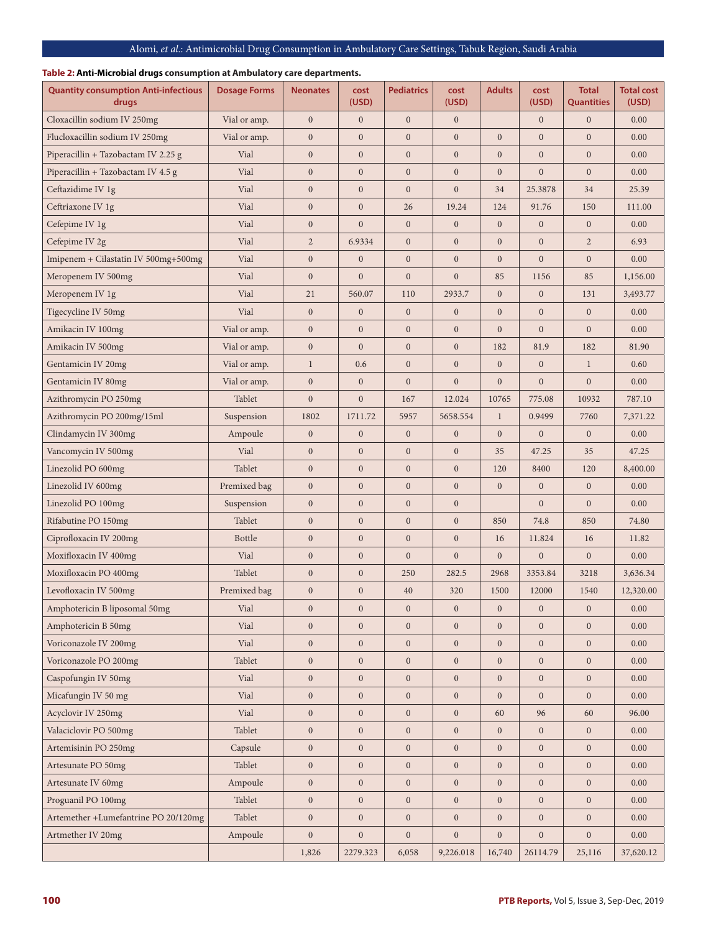## Alomi, *et al*.: Antimicrobial Drug Consumption in Ambulatory Care Settings, Tabuk Region, Saudi Arabia

## **Table 2: Anti-Microbial drugs consumption at Ambulatory care departments.**

| <b>Quantity consumption Anti-infectious</b><br>drugs | <b>Dosage Forms</b> | <b>Neonates</b>  | cost<br>(USD)    | <b>Pediatrics</b> | cost<br>(USD)    | <b>Adults</b>    | cost<br>(USD)    | <b>Total</b><br><b>Quantities</b> | <b>Total cost</b><br>(USD) |
|------------------------------------------------------|---------------------|------------------|------------------|-------------------|------------------|------------------|------------------|-----------------------------------|----------------------------|
| Cloxacillin sodium IV 250mg                          | Vial or amp.        | $\mathbf{0}$     | $\boldsymbol{0}$ | $\mathbf{0}$      | $\mathbf{0}$     |                  | $\mathbf{0}$     | $\mathbf{0}$                      | 0.00                       |
| Flucloxacillin sodium IV 250mg                       | Vial or amp.        | $\mathbf{0}$     | $\mathbf{0}$     | $\mathbf{0}$      | $\mathbf{0}$     | $\mathbf{0}$     | $\mathbf{0}$     | $\overline{0}$                    | 0.00                       |
| Piperacillin + Tazobactam IV 2.25 g                  | Vial                | $\boldsymbol{0}$ | $\boldsymbol{0}$ | $\boldsymbol{0}$  | $\mathbf{0}$     | $\boldsymbol{0}$ | $\boldsymbol{0}$ | $\boldsymbol{0}$                  | 0.00                       |
| Piperacillin + Tazobactam IV 4.5 g                   | Vial                | $\boldsymbol{0}$ | $\boldsymbol{0}$ | $\mathbf{0}$      | $\boldsymbol{0}$ | $\mathbf{0}$     | $\mathbf{0}$     | $\mathbf{0}$                      | 0.00                       |
| Ceftazidime IV 1g                                    | Vial                | $\mathbf{0}$     | $\mathbf{0}$     | $\mathbf{0}$      | $\boldsymbol{0}$ | 34               | 25.3878          | 34                                | 25.39                      |
| Ceftriaxone IV 1g                                    | Vial                | $\boldsymbol{0}$ | $\boldsymbol{0}$ | 26                | 19.24            | 124              | 91.76            | 150                               | 111.00                     |
| Cefepime IV 1g                                       | Vial                | $\boldsymbol{0}$ | $\mathbf{0}$     | $\mathbf{0}$      | $\mathbf{0}$     | $\mathbf{0}$     | $\mathbf{0}$     | $\mathbf{0}$                      | 0.00                       |
| Cefepime IV 2g                                       | Vial                | $\overline{2}$   | 6.9334           | $\mathbf{0}$      | $\boldsymbol{0}$ | $\mathbf{0}$     | $\mathbf{0}$     | $\overline{c}$                    | 6.93                       |
| Imipenem + Cilastatin IV 500mg+500mg                 | Vial                | $\boldsymbol{0}$ | $\mathbf{0}$     | $\mathbf{0}$      | $\boldsymbol{0}$ | $\mathbf{0}$     | $\overline{0}$   | $\mathbf{0}$                      | 0.00                       |
| Meropenem IV 500mg                                   | Vial                | $\boldsymbol{0}$ | $\mathbf{0}$     | $\mathbf{0}$      | $\mathbf{0}$     | 85               | 1156             | 85                                | 1,156.00                   |
| Meropenem IV 1g                                      | Vial                | 21               | 560.07           | 110               | 2933.7           | $\mathbf{0}$     | $\mathbf{0}$     | 131                               | 3,493.77                   |
| Tigecycline IV 50mg                                  | Vial                | $\boldsymbol{0}$ | $\boldsymbol{0}$ | $\mathbf{0}$      | $\mathbf{0}$     | $\mathbf{0}$     | $\mathbf{0}$     | $\mathbf{0}$                      | 0.00                       |
| Amikacin IV 100mg                                    | Vial or amp.        | $\mathbf{0}$     | $\mathbf{0}$     | $\mathbf{0}$      | $\mathbf{0}$     | $\overline{0}$   | $\overline{0}$   | $\overline{0}$                    | 0.00                       |
| Amikacin IV 500mg                                    | Vial or amp.        | $\boldsymbol{0}$ | $\mathbf{0}$     | $\mathbf{0}$      | $\mathbf{0}$     | 182              | 81.9             | 182                               | 81.90                      |
| Gentamicin IV 20mg                                   | Vial or amp.        | $\mathbf{1}$     | 0.6              | $\mathbf{0}$      | $\mathbf{0}$     | $\mathbf{0}$     | $\mathbf{0}$     | $\mathbf{1}$                      | 0.60                       |
| Gentamicin IV 80mg                                   | Vial or amp.        | $\boldsymbol{0}$ | $\mathbf{0}$     | $\mathbf{0}$      | $\mathbf{0}$     | $\boldsymbol{0}$ | $\mathbf{0}$     | $\boldsymbol{0}$                  | 0.00                       |
| Azithromycin PO 250mg                                | Tablet              | $\mathbf{0}$     | $\mathbf{0}$     | 167               | 12.024           | 10765            | 775.08           | 10932                             | 787.10                     |
| Azithromycin PO 200mg/15ml                           | Suspension          | 1802             | 1711.72          | 5957              | 5658.554         | $\mathbf{1}$     | 0.9499           | 7760                              | 7,371.22                   |
| Clindamycin IV 300mg                                 | Ampoule             | $\mathbf{0}$     | $\boldsymbol{0}$ | $\mathbf{0}$      | $\mathbf{0}$     | $\mathbf{0}$     | $\mathbf{0}$     | $\mathbf{0}$                      | 0.00                       |
| Vancomycin IV 500mg                                  | Vial                | $\boldsymbol{0}$ | $\boldsymbol{0}$ | $\mathbf{0}$      | $\mathbf{0}$     | 35               | 47.25            | 35                                | 47.25                      |
| Linezolid PO 600mg                                   | Tablet              | $\mathbf{0}$     | $\boldsymbol{0}$ | $\mathbf{0}$      | $\boldsymbol{0}$ | 120              | 8400             | 120                               | 8,400.00                   |
| Linezolid IV 600mg                                   | Premixed bag        | $\boldsymbol{0}$ | $\mathbf{0}$     | $\mathbf{0}$      | $\mathbf{0}$     | $\mathbf{0}$     | $\mathbf{0}$     | $\overline{0}$                    | 0.00                       |
| Linezolid PO 100mg                                   | Suspension          | $\boldsymbol{0}$ | $\mathbf{0}$     | $\mathbf{0}$      | $\boldsymbol{0}$ |                  | $\overline{0}$   | $\mathbf{0}$                      | 0.00                       |
| Rifabutine PO 150mg                                  | Tablet              | $\boldsymbol{0}$ | $\boldsymbol{0}$ | $\mathbf{0}$      | $\boldsymbol{0}$ | 850              | 74.8             | 850                               | 74.80                      |
| Ciprofloxacin IV 200mg                               | <b>Bottle</b>       | $\boldsymbol{0}$ | $\boldsymbol{0}$ | $\mathbf{0}$      | $\boldsymbol{0}$ | 16               | 11.824           | 16                                | 11.82                      |
| Moxifloxacin IV 400mg                                | Vial                | $\mathbf{0}$     | $\mathbf{0}$     | $\mathbf{0}$      | $\overline{0}$   | $\mathbf{0}$     | $\mathbf{0}$     | $\mathbf{0}$                      | 0.00                       |
| Moxifloxacin PO 400mg                                | Tablet              | $\boldsymbol{0}$ | $\boldsymbol{0}$ | 250               | 282.5            | 2968             | 3353.84          | 3218                              | 3,636.34                   |
| Levofloxacin IV 500mg                                | Premixed bag        | $\boldsymbol{0}$ | $\boldsymbol{0}$ | 40                | 320              | 1500             | 12000            | 1540                              | 12,320.00                  |
| Amphoteric<br>in B liposomal 50mg                    | Vial                | $\boldsymbol{0}$ | $\boldsymbol{0}$ | $\boldsymbol{0}$  | $\boldsymbol{0}$ | $\boldsymbol{0}$ | $\mathbf{0}$     | $\boldsymbol{0}$                  | 0.00                       |
| Amphotericin B 50mg                                  | Vial                | $\mathbf{0}$     | $\mathbf{0}$     | $\mathbf{0}$      | $\mathbf{0}$     | $\mathbf{0}$     | $\mathbf{0}$     | $\overline{0}$                    | 0.00                       |
| Voriconazole IV 200mg                                | Vial                | $\mathbf{0}$     | $\overline{0}$   | $\mathbf{0}$      | $\mathbf{0}$     | $\boldsymbol{0}$ | $\mathbf{0}$     | $\boldsymbol{0}$                  | 0.00                       |
| Voriconazole PO 200mg                                | Tablet              | $\boldsymbol{0}$ | $\boldsymbol{0}$ | $\boldsymbol{0}$  | $\boldsymbol{0}$ | $\overline{0}$   | $\overline{0}$   | $\mathbf{0}$                      | 0.00                       |
| Caspofungin IV 50mg                                  | Vial                | $\boldsymbol{0}$ | $\mathbf{0}$     | $\mathbf{0}$      | $\mathbf{0}$     | $\boldsymbol{0}$ | $\mathbf{0}$     | $\mathbf{0}$                      | 0.00                       |
| Micafungin IV 50 mg                                  | Vial                | $\mathbf{0}$     | $\mathbf{0}$     | $\mathbf{0}$      | $\mathbf{0}$     | $\overline{0}$   | $\overline{0}$   | $\mathbf{0}$                      | 0.00                       |
| Acyclovir IV 250mg                                   | Vial                | $\boldsymbol{0}$ | $\boldsymbol{0}$ | $\mathbf{0}$      | $\mathbf{0}$     | 60               | 96               | 60                                | 96.00                      |
| Valaciclovir PO 500mg                                | Tablet              | $\boldsymbol{0}$ | $\mathbf{0}$     | $\mathbf{0}$      | $\mathbf{0}$     | $\overline{0}$   | $\mathbf{0}$     | $\boldsymbol{0}$                  | 0.00                       |
| Artemisinin PO 250mg                                 | Capsule             | $\boldsymbol{0}$ | $\boldsymbol{0}$ | $\mathbf{0}$      | $\mathbf{0}$     | $\mathbf{0}$     | $\mathbf{0}$     | $\mathbf{0}$                      | 0.00                       |
| Artesunate PO 50mg                                   | Tablet              | $\boldsymbol{0}$ | $\mathbf{0}$     | $\mathbf{0}$      | $\mathbf{0}$     | $\overline{0}$   | $\overline{0}$   | $\mathbf{0}$                      | 0.00                       |
| Artesunate IV 60mg                                   | Ampoule             | $\boldsymbol{0}$ | $\mathbf{0}$     | $\boldsymbol{0}$  | $\mathbf{0}$     | $\overline{0}$   | $\mathbf{0}$     | $\boldsymbol{0}$                  | 0.00                       |
| Proguanil PO 100mg                                   | Tablet              | $\boldsymbol{0}$ | $\mathbf{0}$     | $\mathbf{0}$      | $\boldsymbol{0}$ | $\overline{0}$   | $\mathbf{0}$     | $\boldsymbol{0}$                  | 0.00                       |
| Artemether +Lumefantrine PO 20/120mg                 | Tablet              | $\boldsymbol{0}$ | $\boldsymbol{0}$ | $\mathbf{0}$      | $\mathbf{0}$     | $\overline{0}$   | $\boldsymbol{0}$ | $\mathbf{0}$                      | 0.00                       |
| Artmether IV 20mg                                    | Ampoule             | $\boldsymbol{0}$ | $\boldsymbol{0}$ | $\mathbf{0}$      | $\mathbf{0}$     | $\overline{0}$   | $\overline{0}$   | $\mathbf{0}$                      | $0.00\,$                   |
|                                                      |                     | 1,826            | 2279.323         | 6,058             | 9,226.018        | 16,740           | 26114.79         | 25,116                            | 37,620.12                  |